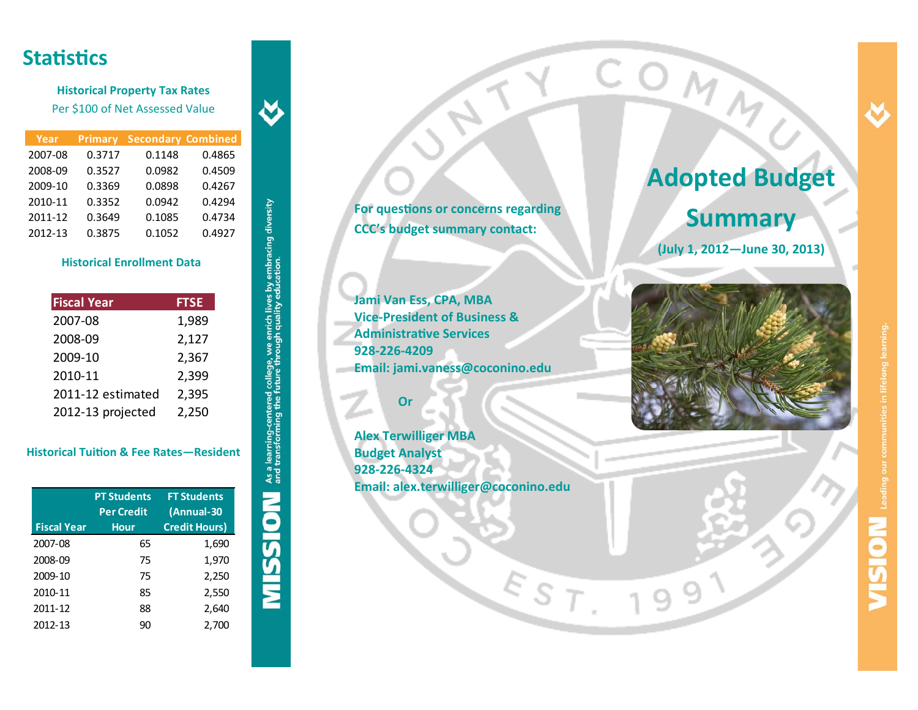## **StaƟsƟcs**

**Historical Property Tax Rates** Per \$100 of Net Assessed Value

| Year    | <b>Primary</b> | <b>Secondary Combined</b> |        |
|---------|----------------|---------------------------|--------|
| 2007-08 | 0.3717         | 0.1148                    | 0.4865 |
| 2008-09 | 0.3527         | 0.0982                    | 0.4509 |
| 2009-10 | 0.3369         | 0.0898                    | 0.4267 |
| 2010-11 | 0.3352         | 0.0942                    | 0.4294 |
| 2011-12 | 0.3649         | 0.1085                    | 0.4734 |
| 2012-13 | 0.3875         | 0.1052                    | 0.4927 |

 $\breve{\mathbf{v}}$ 

**MISSION** As a learning-centered college, we enrich lives by embracing diversity

### **Historical Enrollment Data**

| <b>Fiscal Year</b> | <b>FTSE</b> |
|--------------------|-------------|
| 2007-08            | 1,989       |
| 2008-09            | 2,127       |
| 2009-10            | 2,367       |
| 2010-11            | 2,399       |
| 2011-12 estimated  | 2,395       |
| 2012-13 projected  | 2,250       |

### **Historical TuiƟon & Fee Rates—Resident**

| <b>Fiscal Year</b> | <b>PT Students</b><br><b>Per Credit</b><br><b>Hour</b> | <b>FT Students</b><br>(Annual-30<br><b>Credit Hours)</b> |
|--------------------|--------------------------------------------------------|----------------------------------------------------------|
| 2007-08            | 65                                                     | 1,690                                                    |
| 2008-09            | 75                                                     | 1,970                                                    |
| 2009-10            | 75                                                     | 2,250                                                    |
| 2010-11            | 85                                                     | 2,550                                                    |
| 2011-12            | 88                                                     | 2,640                                                    |
| 2012-13            | 90                                                     | 2,700                                                    |

**For quesƟons or concerns regarding CCC's budget summary contact:**

**Jami Van Ess, CPA, MBA Vice‐President of Business &AdministraƟve Services 928‐226‐4209Email: jami.vaness@coconino.edu**

### **Or**

**Alex Terwilliger MBA Budget Analyst 928‐226‐4324 Email: alex.terwilliger@coconino.edu**

EST

# **Adopted Budget Summary**

COMM

**(July 1, 2012—June 30, 2013)**



9